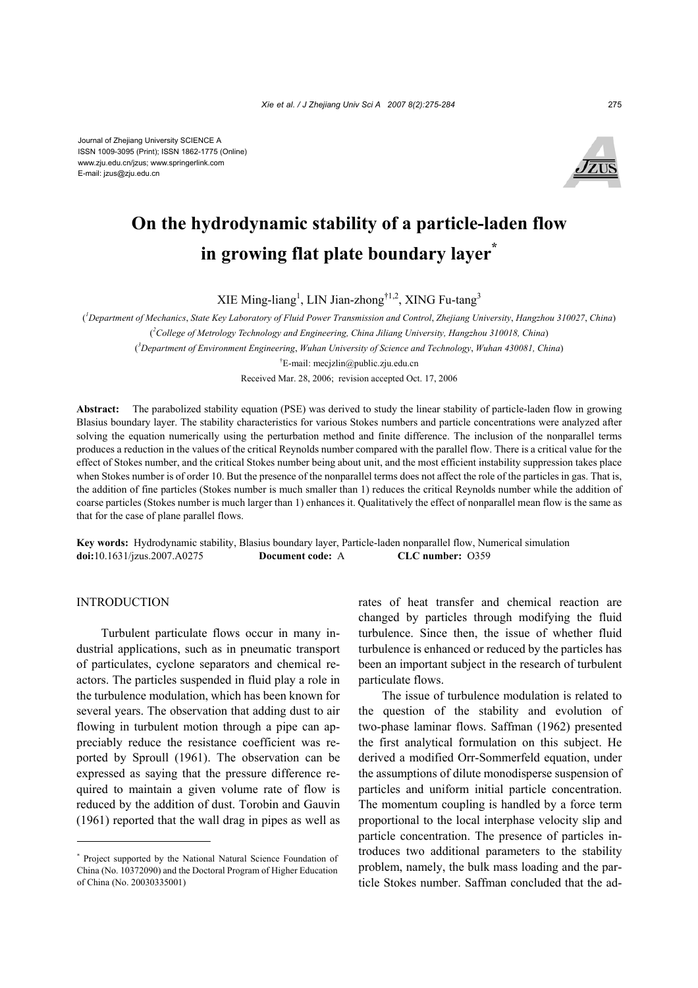

# **On the hydrodynamic stability of a particle-laden flow in growing flat plate boundary layer\***

 $XIE Ming$ -liang<sup>1</sup>, LIN Jian-zhong<sup>†1,2</sup>, XING Fu-tang<sup>3</sup>

( *1 Department of Mechanics*, *State Key Laboratory of Fluid Power Transmission and Control*, *Zhejiang University*, *Hangzhou 310027*, *China*) ( *2 College of Metrology Technology and Engineering, China Jiliang University, Hangzhou 310018, China*) ( *3 Department of Environment Engineering*, *Wuhan University of Science and Technology*, *Wuhan 430081, China*) † E-mail: mecjzlin@public.zju.edu.cn Received Mar. 28, 2006; revision accepted Oct. 17, 2006

**Abstract:** The parabolized stability equation (PSE) was derived to study the linear stability of particle-laden flow in growing Blasius boundary layer. The stability characteristics for various Stokes numbers and particle concentrations were analyzed after solving the equation numerically using the perturbation method and finite difference. The inclusion of the nonparallel terms produces a reduction in the values of the critical Reynolds number compared with the parallel flow. There is a critical value for the effect of Stokes number, and the critical Stokes number being about unit, and the most efficient instability suppression takes place when Stokes number is of order 10. But the presence of the nonparallel terms does not affect the role of the particles in gas. That is, the addition of fine particles (Stokes number is much smaller than 1) reduces the critical Reynolds number while the addition of coarse particles (Stokes number is much larger than 1) enhances it. Qualitatively the effect of nonparallel mean flow is the same as that for the case of plane parallel flows.

**Key words:** Hydrodynamic stability, Blasius boundary layer, Particle-laden nonparallel flow, Numerical simulation **doi:**10.1631/jzus.2007.A0275 **Document code:** A **CLC number:** O359

# INTRODUCTION

Turbulent particulate flows occur in many industrial applications, such as in pneumatic transport of particulates, cyclone separators and chemical reactors. The particles suspended in fluid play a role in the turbulence modulation, which has been known for several years. The observation that adding dust to air flowing in turbulent motion through a pipe can appreciably reduce the resistance coefficient was reported by Sproull (1961). The observation can be expressed as saying that the pressure difference required to maintain a given volume rate of flow is reduced by the addition of dust. Torobin and Gauvin (1961) reported that the wall drag in pipes as well as

rates of heat transfer and chemical reaction are changed by particles through modifying the fluid turbulence. Since then, the issue of whether fluid turbulence is enhanced or reduced by the particles has been an important subject in the research of turbulent particulate flows.

The issue of turbulence modulation is related to the question of the stability and evolution of two-phase laminar flows. Saffman (1962) presented the first analytical formulation on this subject. He derived a modified Orr-Sommerfeld equation, under the assumptions of dilute monodisperse suspension of particles and uniform initial particle concentration. The momentum coupling is handled by a force term proportional to the local interphase velocity slip and particle concentration. The presence of particles introduces two additional parameters to the stability problem, namely, the bulk mass loading and the particle Stokes number. Saffman concluded that the ad-

<sup>\*</sup> Project supported by the National Natural Science Foundation of China (No. 10372090) and the Doctoral Program of Higher Education of China (No. 20030335001)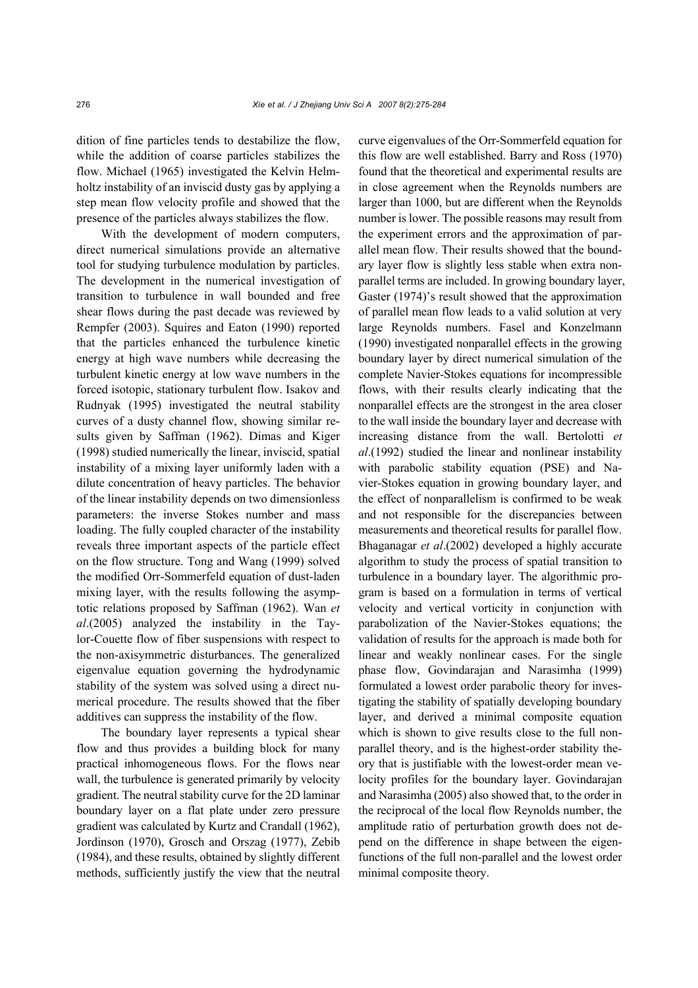dition of fine particles tends to destabilize the flow, while the addition of coarse particles stabilizes the flow. Michael (1965) investigated the Kelvin Helmholtz instability of an inviscid dusty gas by applying a step mean flow velocity profile and showed that the presence of the particles always stabilizes the flow.

With the development of modern computers, direct numerical simulations provide an alternative tool for studying turbulence modulation by particles. The development in the numerical investigation of transition to turbulence in wall bounded and free shear flows during the past decade was reviewed by Rempfer (2003). Squires and Eaton (1990) reported that the particles enhanced the turbulence kinetic energy at high wave numbers while decreasing the turbulent kinetic energy at low wave numbers in the forced isotopic, stationary turbulent flow. Isakov and Rudnyak (1995) investigated the neutral stability curves of a dusty channel flow, showing similar results given by Saffman (1962). Dimas and Kiger (1998) studied numerically the linear, inviscid, spatial instability of a mixing layer uniformly laden with a dilute concentration of heavy particles. The behavior of the linear instability depends on two dimensionless parameters: the inverse Stokes number and mass loading. The fully coupled character of the instability reveals three important aspects of the particle effect on the flow structure. Tong and Wang (1999) solved the modified Orr-Sommerfeld equation of dust-laden mixing layer, with the results following the asymptotic relations proposed by Saffman (1962). Wan *et al*.(2005) analyzed the instability in the Taylor-Couette flow of fiber suspensions with respect to the non-axisymmetric disturbances. The generalized eigenvalue equation governing the hydrodynamic stability of the system was solved using a direct numerical procedure. The results showed that the fiber additives can suppress the instability of the flow.

The boundary layer represents a typical shear flow and thus provides a building block for many practical inhomogeneous flows. For the flows near wall, the turbulence is generated primarily by velocity gradient. The neutral stability curve for the 2D laminar boundary layer on a flat plate under zero pressure gradient was calculated by Kurtz and Crandall (1962), Jordinson (1970), Grosch and Orszag (1977), Zebib (1984), and these results, obtained by slightly different methods, sufficiently justify the view that the neutral curve eigenvalues of the Orr-Sommerfeld equation for this flow are well established. Barry and Ross (1970) found that the theoretical and experimental results are in close agreement when the Reynolds numbers are larger than 1000, but are different when the Reynolds number is lower. The possible reasons may result from the experiment errors and the approximation of parallel mean flow. Their results showed that the boundary layer flow is slightly less stable when extra nonparallel terms are included. In growing boundary layer, Gaster (1974)'s result showed that the approximation of parallel mean flow leads to a valid solution at very large Reynolds numbers. Fasel and Konzelmann (1990) investigated nonparallel effects in the growing boundary layer by direct numerical simulation of the complete Navier-Stokes equations for incompressible flows, with their results clearly indicating that the nonparallel effects are the strongest in the area closer to the wall inside the boundary layer and decrease with increasing distance from the wall. Bertolotti *et al*.(1992) studied the linear and nonlinear instability with parabolic stability equation (PSE) and Navier-Stokes equation in growing boundary layer, and the effect of nonparallelism is confirmed to be weak and not responsible for the discrepancies between measurements and theoretical results for parallel flow. Bhaganagar *et al*.(2002) developed a highly accurate algorithm to study the process of spatial transition to turbulence in a boundary layer. The algorithmic program is based on a formulation in terms of vertical velocity and vertical vorticity in conjunction with parabolization of the Navier-Stokes equations; the validation of results for the approach is made both for linear and weakly nonlinear cases. For the single phase flow, Govindarajan and Narasimha (1999) formulated a lowest order parabolic theory for investigating the stability of spatially developing boundary layer, and derived a minimal composite equation which is shown to give results close to the full nonparallel theory, and is the highest-order stability theory that is justifiable with the lowest-order mean velocity profiles for the boundary layer. Govindarajan and Narasimha (2005) also showed that, to the order in the reciprocal of the local flow Reynolds number, the amplitude ratio of perturbation growth does not depend on the difference in shape between the eigenfunctions of the full non-parallel and the lowest order minimal composite theory.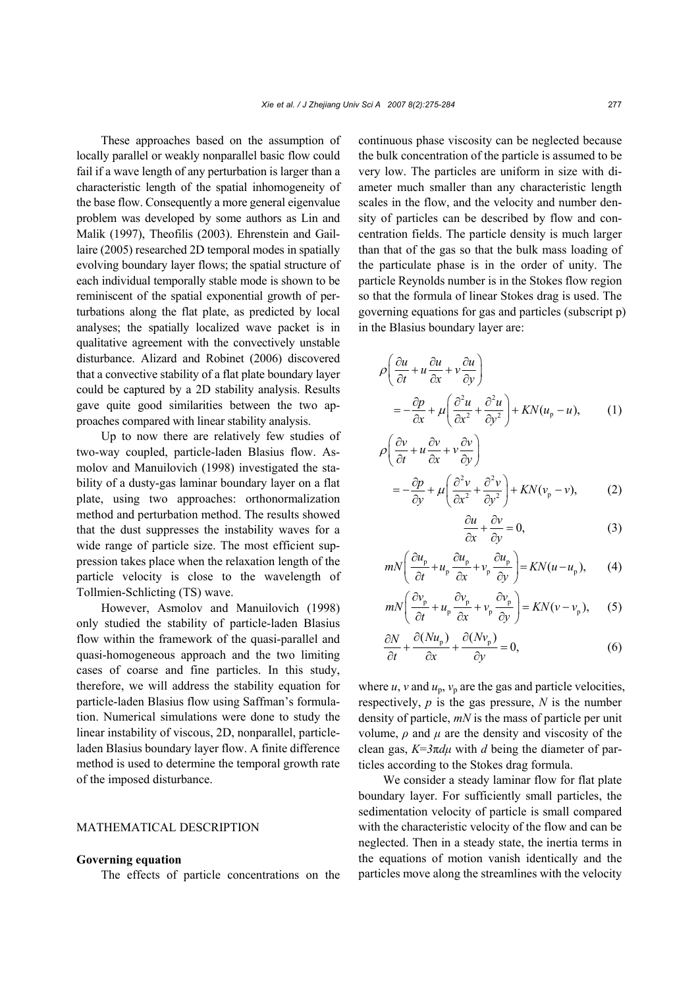These approaches based on the assumption of locally parallel or weakly nonparallel basic flow could fail if a wave length of any perturbation is larger than a characteristic length of the spatial inhomogeneity of the base flow. Consequently a more general eigenvalue problem was developed by some authors as Lin and Malik (1997), Theofilis (2003). Ehrenstein and Gaillaire (2005) researched 2D temporal modes in spatially evolving boundary layer flows; the spatial structure of each individual temporally stable mode is shown to be reminiscent of the spatial exponential growth of perturbations along the flat plate, as predicted by local analyses; the spatially localized wave packet is in qualitative agreement with the convectively unstable disturbance. Alizard and Robinet (2006) discovered that a convective stability of a flat plate boundary layer could be captured by a 2D stability analysis. Results gave quite good similarities between the two approaches compared with linear stability analysis.

Up to now there are relatively few studies of two-way coupled, particle-laden Blasius flow. Asmolov and Manuilovich (1998) investigated the stability of a dusty-gas laminar boundary layer on a flat plate, using two approaches: orthonormalization method and perturbation method. The results showed that the dust suppresses the instability waves for a wide range of particle size. The most efficient suppression takes place when the relaxation length of the particle velocity is close to the wavelength of Tollmien-Schlicting (TS) wave.

However, Asmolov and Manuilovich (1998) only studied the stability of particle-laden Blasius flow within the framework of the quasi-parallel and quasi-homogeneous approach and the two limiting cases of coarse and fine particles. In this study, therefore, we will address the stability equation for particle-laden Blasius flow using Saffman's formulation. Numerical simulations were done to study the linear instability of viscous, 2D, nonparallel, particleladen Blasius boundary layer flow. A finite difference method is used to determine the temporal growth rate of the imposed disturbance.

# MATHEMATICAL DESCRIPTION

#### **Governing equation**

The effects of particle concentrations on the

continuous phase viscosity can be neglected because the bulk concentration of the particle is assumed to be very low. The particles are uniform in size with diameter much smaller than any characteristic length scales in the flow, and the velocity and number density of particles can be described by flow and concentration fields. The particle density is much larger than that of the gas so that the bulk mass loading of the particulate phase is in the order of unity. The particle Reynolds number is in the Stokes flow region so that the formula of linear Stokes drag is used. The governing equations for gas and particles (subscript p) in the Blasius boundary layer are:

$$
\rho \left( \frac{\partial u}{\partial t} + u \frac{\partial u}{\partial x} + v \frac{\partial u}{\partial y} \right)
$$
  
= 
$$
-\frac{\partial p}{\partial x} + \mu \left( \frac{\partial^2 u}{\partial x^2} + \frac{\partial^2 u}{\partial y^2} \right) + KN(u_p - u),
$$
 (1)

$$
\rho \left( \frac{\partial v}{\partial t} + u \frac{\partial v}{\partial x} + v \frac{\partial v}{\partial y} \right)
$$
  
=  $-\frac{\partial p}{\partial y} + \mu \left( \frac{\partial^2 v}{\partial x^2} + \frac{\partial^2 v}{\partial y^2} \right) + KN(v_p - v),$  (2)

$$
\frac{\partial u}{\partial x} + \frac{\partial v}{\partial y} = 0,\tag{3}
$$

$$
mN\left(\frac{\partial u_{\rm p}}{\partial t} + u_{\rm p}\frac{\partial u_{\rm p}}{\partial x} + v_{\rm p}\frac{\partial u_{\rm p}}{\partial y}\right) = KN(u - u_{\rm p}),\qquad(4)
$$

$$
mN\left(\frac{\partial v_{\rm p}}{\partial t} + u_{\rm p}\frac{\partial v_{\rm p}}{\partial x} + v_{\rm p}\frac{\partial v_{\rm p}}{\partial y}\right) = KN(v - v_{\rm p}),\qquad(5)
$$

$$
\frac{\partial N}{\partial t} + \frac{\partial (Nu_{\rm p})}{\partial x} + \frac{\partial (Nv_{\rm p})}{\partial y} = 0,\tag{6}
$$

where  $u$ ,  $v$  and  $u_p$ ,  $v_p$  are the gas and particle velocities, respectively, *p* is the gas pressure, *N* is the number density of particle, *mN* is the mass of particle per unit volume,  $\rho$  and  $\mu$  are the density and viscosity of the clean gas, *K*=*3*π*dµ* with *d* being the diameter of particles according to the Stokes drag formula.

We consider a steady laminar flow for flat plate boundary layer. For sufficiently small particles, the sedimentation velocity of particle is small compared with the characteristic velocity of the flow and can be neglected. Then in a steady state, the inertia terms in the equations of motion vanish identically and the particles move along the streamlines with the velocity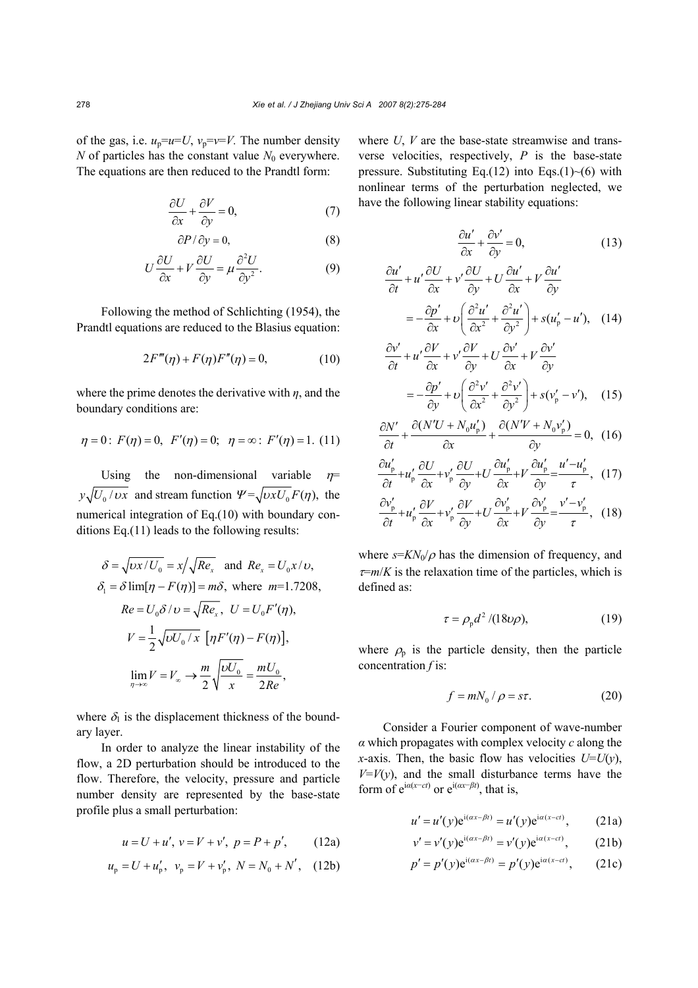of the gas, i.e.  $u_p = u = U$ ,  $v_p = v = V$ . The number density  $N$  of particles has the constant value  $N_0$  everywhere. The equations are then reduced to the Prandtl form:

$$
\frac{\partial U}{\partial x} + \frac{\partial V}{\partial y} = 0,\t\t(7)
$$

$$
\partial P / \partial y = 0,\t\t(8)
$$

$$
U\frac{\partial U}{\partial x} + V\frac{\partial U}{\partial y} = \mu \frac{\partial^2 U}{\partial y^2}.
$$
 (9)

Following the method of Schlichting (1954), the Prandtl equations are reduced to the Blasius equation:

$$
2F'''(\eta) + F(\eta)F''(\eta) = 0,\tag{10}
$$

where the prime denotes the derivative with  $\eta$ , and the boundary conditions are:

$$
\eta = 0
$$
:  $F(\eta) = 0$ ,  $F'(\eta) = 0$ ;  $\eta = \infty$ :  $F'(\eta) = 1$ . (11)

Using the non-dimensional variable  $\eta$ =  $v\sqrt{U_0/vx}$  and stream function  $\Psi = \sqrt{vxU_0}F(\eta)$ , the numerical integration of Eq.(10) with boundary conditions Eq.(11) leads to the following results:

$$
\delta = \sqrt{vx/U_0} = x/\sqrt{Re_x} \text{ and } Re_x = U_0 x/v,
$$
  
\n
$$
\delta_1 = \delta \lim[\eta - F(\eta)] = m\delta, \text{ where } m = 1.7208,
$$
  
\n
$$
Re = U_0 \delta/v = \sqrt{Re_x}, \quad U = U_0 F'(\eta),
$$
  
\n
$$
V = \frac{1}{2} \sqrt{vU_0/x} [\eta F'(\eta) - F(\eta)],
$$
  
\n
$$
\lim_{\eta \to \infty} V = V_{\infty} \to \frac{m}{2} \sqrt{\frac{vU_0}{x}} = \frac{mU_0}{2Re},
$$

where  $\delta_1$  is the displacement thickness of the boundary layer.

In order to analyze the linear instability of the flow, a 2D perturbation should be introduced to the flow. Therefore, the velocity, pressure and particle number density are represented by the base-state profile plus a small perturbation:

$$
u = U + u', v = V + v', p = P + p',
$$
 (12a)

$$
u_p = U + u'_p
$$
,  $v_p = V + v'_p$ ,  $N = N_0 + N'$ , (12b)

where *U*, *V* are the base-state streamwise and transverse velocities, respectively, *P* is the base-state pressure. Substituting Eq.(12) into Eqs.(1) $\sim$ (6) with nonlinear terms of the perturbation neglected, we have the following linear stability equations:

$$
\frac{\partial u'}{\partial x} + \frac{\partial v'}{\partial y} = 0,\tag{13}
$$

$$
\frac{\partial u'}{\partial t} + u' \frac{\partial U}{\partial x} + v' \frac{\partial U}{\partial y} + U \frac{\partial u'}{\partial x} + V \frac{\partial u'}{\partial y}
$$

$$
= -\frac{\partial p'}{\partial x} + v \left( \frac{\partial^2 u'}{\partial x^2} + \frac{\partial^2 u'}{\partial y^2} \right) + s(u'_p - u'), \quad (14)
$$

$$
\frac{\partial v'}{\partial t} + u' \frac{\partial V}{\partial x} + v' \frac{\partial V}{\partial y} + U \frac{\partial v'}{\partial x} + V \frac{\partial v'}{\partial y}
$$
  
=  $-\frac{\partial p'}{\partial y} + v \left( \frac{\partial^2 v'}{\partial x^2} + \frac{\partial^2 v'}{\partial y^2} \right) + s (v'_p - v'),$  (15)

$$
\frac{\partial N'}{\partial t} + \frac{\partial (N'U + N_0 u_p')}{\partial x} + \frac{\partial (N'V + N_0 v_p')}{\partial y} = 0, \tag{16}
$$

$$
\frac{\partial u'_{\mathrm{p}}}{\partial t} + u'_{\mathrm{p}} \frac{\partial U}{\partial x} + v'_{\mathrm{p}} \frac{\partial U}{\partial y} + U \frac{\partial u'_{\mathrm{p}}}{\partial x} + V \frac{\partial u'_{\mathrm{p}}}{\partial y} = \frac{u' - u'_{\mathrm{p}}}{\tau}, \tag{17}
$$

$$
\frac{\partial v'_{\mathrm{p}}}{\partial t} + u'_{\mathrm{p}} \frac{\partial V}{\partial x} + v'_{\mathrm{p}} \frac{\partial V}{\partial y} + U \frac{\partial v'_{\mathrm{p}}}{\partial x} + V \frac{\partial v'_{\mathrm{p}}}{\partial y} = \frac{v' - v'_{\mathrm{p}}}{\tau}, \quad (18)
$$

where  $s = KN_0/\rho$  has the dimension of frequency, and  $\tau = m/K$  is the relaxation time of the particles, which is defined as:

$$
\tau = \rho_{\rm p} d^2 / (18\nu\rho),\tag{19}
$$

where  $\rho_p$  is the particle density, then the particle concentration *f* is:

$$
f = mN_0 / \rho = s\tau.
$$
 (20)

Consider a Fourier component of wave-number *α* which propagates with complex velocity *c* along the *x*-axis. Then, the basic flow has velocities  $U=U(y)$ ,  $V=V(y)$ , and the small disturbance terms have the form of  $e^{i\alpha(x-ct)}$  or  $e^{i(\alpha x-\beta t)}$ , that is,

$$
u' = u'(y)e^{i(\alpha x - \beta t)} = u'(y)e^{i\alpha(x - ct)},
$$
 (21a)

$$
v' = v'(y)e^{i(\alpha x - \beta t)} = v'(y)e^{i\alpha(x - ct)},
$$
 (21b)

$$
p' = p'(y)e^{i(\alpha x - \beta t)} = p'(y)e^{i\alpha(x - ct)},
$$
 (21c)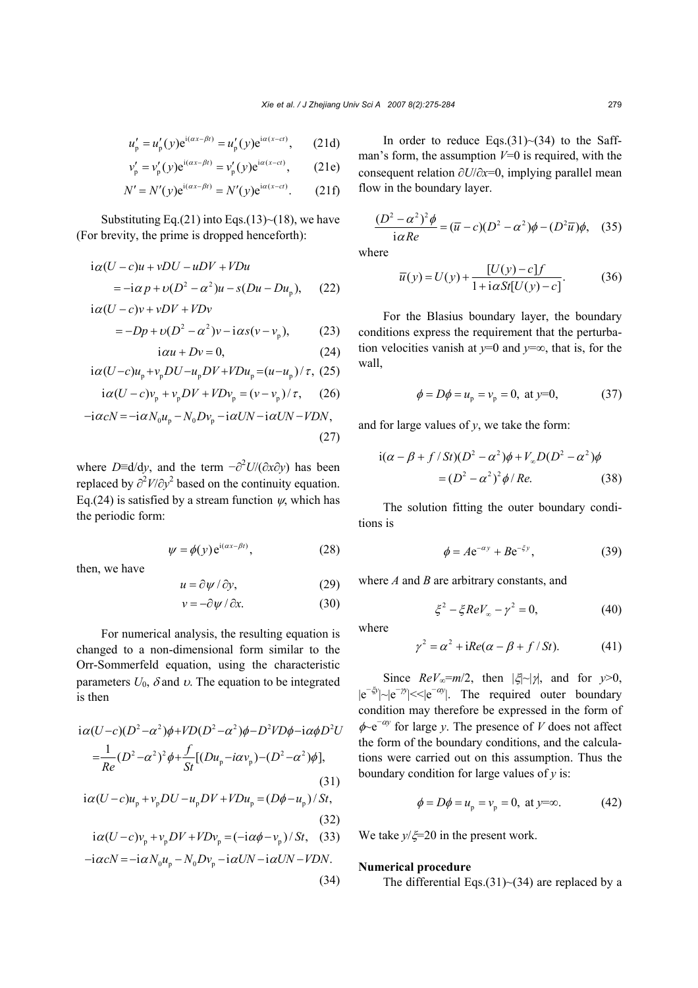$$
u'_{p} = u'_{p}(y)e^{i(\alpha x - \beta t)} = u'_{p}(y)e^{i\alpha(x - ct)}, \qquad (21d)
$$

$$
v'_{p} = v'_{p}(y)e^{i(\alpha x - \beta t)} = v'_{p}(y)e^{i\alpha(x - ct)},
$$
 (21e)

$$
N' = N'(y)e^{i(\alpha x - \beta t)} = N'(y)e^{i\alpha(x - ct)}.
$$
 (21f)

Substituting Eq.(21) into Eqs.(13) $\sim$ (18), we have (For brevity, the prime is dropped henceforth):

$$
i\alpha(U-c)u + vDU - uDV + VDu
$$
  
=  $-i\alpha p + v(D^2 - \alpha^2)u - s(Du - Du_p)$ , (22)  

$$
i\alpha(U-c)v + vDV + VDv
$$

$$
= -Dp + v(D^{2} - \alpha^{2})v - i\alpha s(v - v_{p}),
$$
 (23)

$$
i\alpha u + Dv = 0, \qquad (24)
$$

$$
i\alpha(U-c)u_{p}+v_{p}DU-u_{p}DV+VDu_{p}=(u-u_{p})/\tau, (25)
$$

$$
i\alpha(U-c)v_{\rm p} + v_{\rm p}DV + VDv_{\rm p} = (v - v_{\rm p})/\tau, \qquad (26)
$$

$$
-i\alpha cN = -i\alpha N_0 u_{\rm p} - N_0 Dv_{\rm p} - i\alpha UN - i\alpha UN - VDN,
$$
\n(27)

where  $D \equiv d/dy$ , and the term  $-\partial^2 U/(\partial x \partial y)$  has been replaced by  $\partial^2 V/\partial y^2$  based on the continuity equation. Eq.(24) is satisfied by a stream function  $\psi$ , which has the periodic form:

$$
\psi = \phi(y) e^{i(\alpha x - \beta t)}, \qquad (28)
$$

then, we have

$$
u = \partial \psi / \partial y,\tag{29}
$$

$$
v = -\partial \psi / \partial x. \tag{30}
$$

For numerical analysis, the resulting equation is changed to a non-dimensional form similar to the Orr-Sommerfeld equation, using the characteristic parameters  $U_0$ ,  $\delta$  and  $\upsilon$ . The equation to be integrated is then

$$
i\alpha(U-c)(D^2-\alpha^2)\phi+VD(D^2-\alpha^2)\phi-D^2VD\phi-i\alpha\phi D^2U
$$
  
=
$$
\frac{1}{Re}(D^2-\alpha^2)^2\phi+\frac{f}{St}[(Du_p-i\alpha v_p)-(D^2-\alpha^2)\phi],
$$
 (31)

$$
i\alpha(U-c)u_{\mathrm{p}} + v_{\mathrm{p}}DU - u_{\mathrm{p}}DV + VDu_{\mathrm{p}} = (D\phi - u_{\mathrm{p}})/St,
$$
\n(32)

$$
i\alpha(U-c)v_{p} + v_{p}DV + VDv_{p} = (-i\alpha\phi - v_{p})/St, \quad (33)
$$

$$
-i\alpha cN = -i\alpha N_0 u_{\rm p} - N_0 Dv_{\rm p} - i\alpha UN - i\alpha UN - VDN.
$$

In order to reduce Eqs.(31) $\sim$ (34) to the Saffman's form, the assumption  $V=0$  is required, with the consequent relation ∂*U*/∂*x*=0, implying parallel mean flow in the boundary layer.

$$
\frac{(D^2 - \alpha^2)^2 \phi}{i \alpha Re} = (\overline{u} - c)(D^2 - \alpha^2)\phi - (D^2 \overline{u})\phi, \quad (35)
$$

where

$$
\overline{u}(y) = U(y) + \frac{[U(y) - c]f}{1 + i\alpha St[U(y) - c]}.
$$
 (36)

For the Blasius boundary layer, the boundary conditions express the requirement that the perturbation velocities vanish at  $y=0$  and  $y=\infty$ , that is, for the wall,

$$
\phi = D\phi = u_p = v_p = 0
$$
, at y=0, (37)

and for large values of *y*, we take the form:

$$
i(\alpha - \beta + f/St)(D^2 - \alpha^2)\phi + V_{\infty}D(D^2 - \alpha^2)\phi
$$
  
=  $(D^2 - \alpha^2)^2 \phi / Re.$  (38)

The solution fitting the outer boundary conditions is

$$
\phi = Ae^{-\alpha y} + Be^{-\xi y}, \tag{39}
$$

where *A* and *B* are arbitrary constants, and

$$
\xi^2 - \xi Re V_{\infty} - \gamma^2 = 0, \qquad (40)
$$

where

$$
\gamma^2 = \alpha^2 + iRe(\alpha - \beta + f/St). \tag{41}
$$

Since  $ReV_{\infty} = m/2$ , then  $|\xi| \sim |\gamma|$ , and for  $y > 0$ ,  $|e^{-\xi y}|$   $\sim$   $|e^{-\gamma y}|$   $\lt$   $\lt$   $|e^{-\alpha y}|$ . The required outer boundary condition may therefore be expressed in the form of φ~e<sup>−</sup>α*<sup>y</sup>* for large *y*. The presence of *V* does not affect the form of the boundary conditions, and the calculations were carried out on this assumption. Thus the boundary condition for large values of *y* is:

$$
\phi = D\phi = u_p = v_p = 0
$$
, at  $y = \infty$ . (42)

We take *y*/ξ=20 in the present work.

### **Numerical procedure**

(34)

The differential Eqs.(31) $\sim$ (34) are replaced by a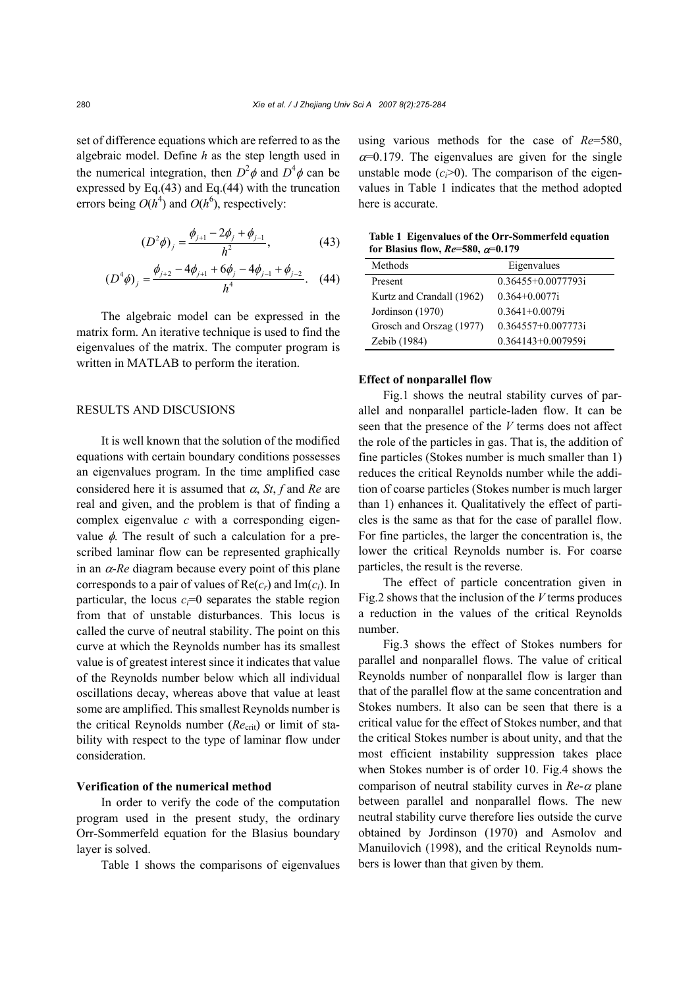set of difference equations which are referred to as the algebraic model. Define *h* as the step length used in the numerical integration, then  $D^2\phi$  and  $D^4\phi$  can be expressed by Eq.(43) and Eq.(44) with the truncation errors being  $O(h^4)$  and  $O(h^6)$ , respectively:

$$
(D^2 \phi)_j = \frac{\phi_{j+1} - 2\phi_j + \phi_{j-1}}{h^2},
$$
 (43)

$$
(D^4 \phi)_j = \frac{\phi_{j+2} - 4\phi_{j+1} + 6\phi_j - 4\phi_{j-1} + \phi_{j-2}}{h^4}.
$$
 (44)

The algebraic model can be expressed in the matrix form. An iterative technique is used to find the eigenvalues of the matrix. The computer program is written in MATLAB to perform the iteration.

## RESULTS AND DISCUSIONS

It is well known that the solution of the modified equations with certain boundary conditions possesses an eigenvalues program. In the time amplified case considered here it is assumed that  $\alpha$ , *St*, *f* and *Re* are real and given, and the problem is that of finding a complex eigenvalue *c* with a corresponding eigenvalue  $\phi$ . The result of such a calculation for a prescribed laminar flow can be represented graphically in an α-*Re* diagram because every point of this plane corresponds to a pair of values of  $\text{Re}(c_r)$  and  $\text{Im}(c_i)$ . In particular, the locus  $c_i=0$  separates the stable region from that of unstable disturbances. This locus is called the curve of neutral stability. The point on this curve at which the Reynolds number has its smallest value is of greatest interest since it indicates that value of the Reynolds number below which all individual oscillations decay, whereas above that value at least some are amplified. This smallest Reynolds number is the critical Reynolds number (*Re<sub>crit</sub>*) or limit of stability with respect to the type of laminar flow under consideration.

#### **Verification of the numerical method**

In order to verify the code of the computation program used in the present study, the ordinary Orr-Sommerfeld equation for the Blasius boundary layer is solved.

Table 1 shows the comparisons of eigenvalues

using various methods for the case of *Re*=580,  $\alpha$ =0.179. The eigenvalues are given for the single unstable mode  $(c_i>0)$ . The comparison of the eigenvalues in Table 1 indicates that the method adopted here is accurate.

|                                             | Table 1 Eigenvalues of the Orr-Sommerfeld equation |  |  |
|---------------------------------------------|----------------------------------------------------|--|--|
| for Blasius flow, $Re=580$ , $\alpha=0.179$ |                                                    |  |  |

| Methods                   | Eigenvalues            |
|---------------------------|------------------------|
| Present                   | $0.36455+0.0077793i$   |
| Kurtz and Crandall (1962) | $0.364 + 0.0077i$      |
| Jordinson (1970)          | $0.3641 + 0.0079i$     |
| Grosch and Orszag (1977)  | $0.364557+0.007773i$   |
| Zebib (1984)              | $0.364143 + 0.007959i$ |

## **Effect of nonparallel flow**

Fig.1 shows the neutral stability curves of parallel and nonparallel particle-laden flow. It can be seen that the presence of the *V* terms does not affect the role of the particles in gas. That is, the addition of fine particles (Stokes number is much smaller than 1) reduces the critical Reynolds number while the addition of coarse particles (Stokes number is much larger than 1) enhances it. Qualitatively the effect of particles is the same as that for the case of parallel flow. For fine particles, the larger the concentration is, the lower the critical Reynolds number is. For coarse particles, the result is the reverse.

The effect of particle concentration given in Fig.2 shows that the inclusion of the *V* terms produces a reduction in the values of the critical Reynolds number.

Fig.3 shows the effect of Stokes numbers for parallel and nonparallel flows. The value of critical Reynolds number of nonparallel flow is larger than that of the parallel flow at the same concentration and Stokes numbers. It also can be seen that there is a critical value for the effect of Stokes number, and that the critical Stokes number is about unity, and that the most efficient instability suppression takes place when Stokes number is of order 10. Fig.4 shows the comparison of neutral stability curves in *Re*-α plane between parallel and nonparallel flows. The new neutral stability curve therefore lies outside the curve obtained by Jordinson (1970) and Asmolov and Manuilovich (1998), and the critical Reynolds numbers is lower than that given by them.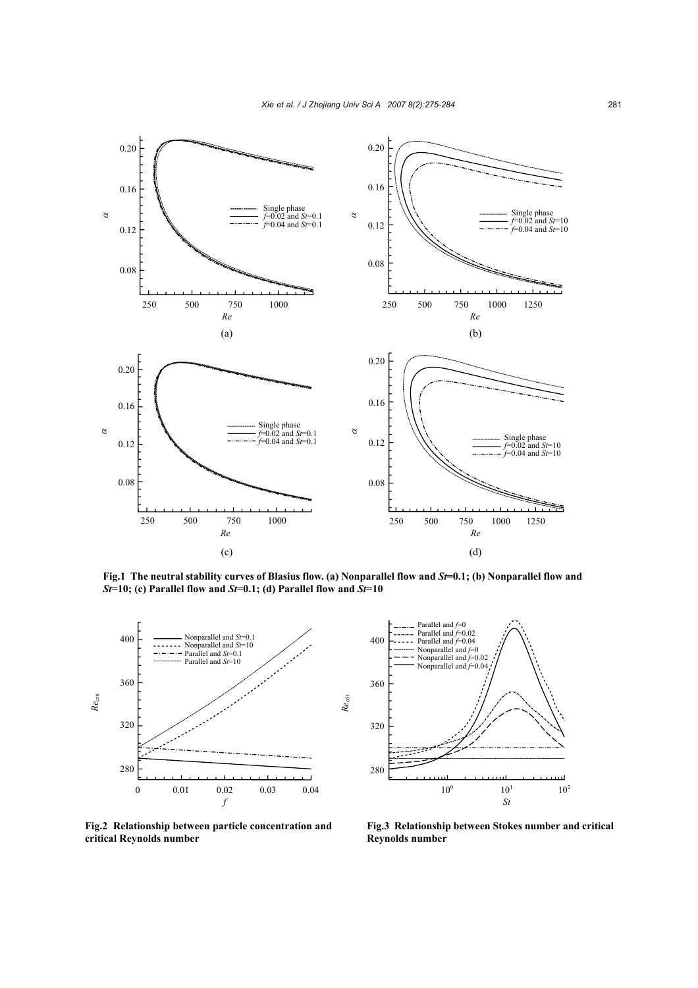

**Fig.1 The neutral stability curves of Blasius flow. (a) Nonparallel flow and** *St***=0.1; (b) Nonparallel flow and** *St***=10;** (c) Parallel flow and *St***=0.1;** (d) Parallel flow and *St***=10** 



**Fig.2 Relationship between particle concentration and critical Reynolds number** 



**Fig.3 Relationship between Stokes number and critical Reynolds number**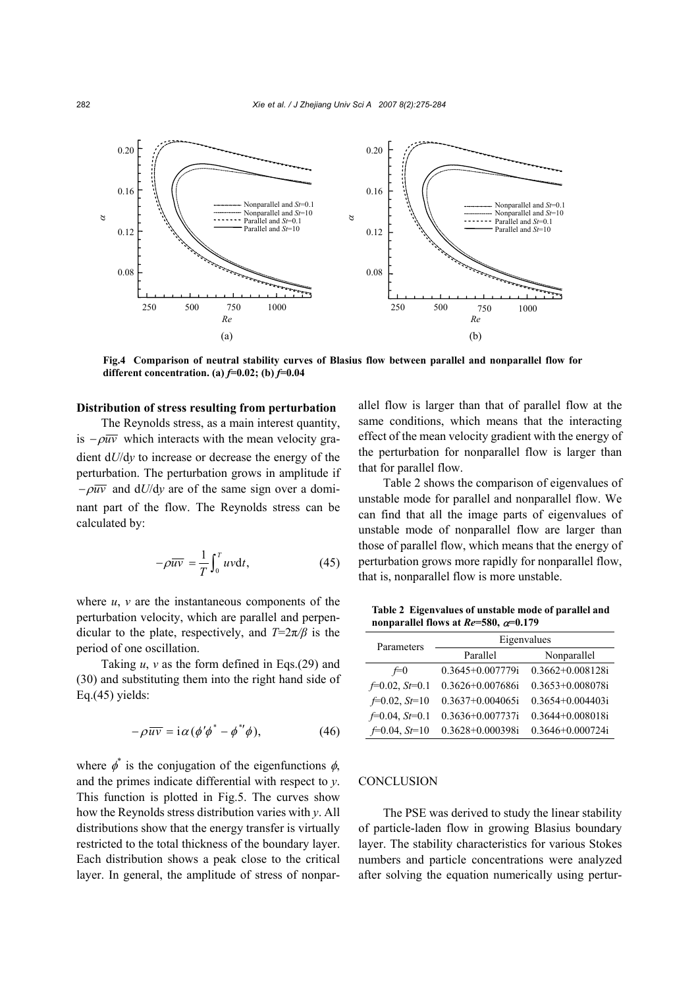

**Fig.4 Comparison of neutral stability curves of Blasius flow between parallel and nonparallel flow for different concentration. (a)** *f***=0.02; (b)** *f***=0.04** 

#### **Distribution of stress resulting from perturbation**

The Reynolds stress, as a main interest quantity, is  $-\rho \overline{uv}$  which interacts with the mean velocity gradient d*U*/d*y* to increase or decrease the energy of the perturbation. The perturbation grows in amplitude if  $-\rho \overline{u} \overline{v}$  and d*U*/d<sub>*y*</sub> are of the same sign over a dominant part of the flow. The Reynolds stress can be calculated by:

$$
-\rho \overline{uv} = \frac{1}{T} \int_0^T u v \, dt,\tag{45}
$$

where *u*, *v* are the instantaneous components of the perturbation velocity, which are parallel and perpendicular to the plate, respectively, and  $T=2\pi/\beta$  is the period of one oscillation.

Taking *u*, *v* as the form defined in Eqs.(29) and (30) and substituting them into the right hand side of Eq.(45) yields:

$$
-\rho \overline{uv} = i\alpha (\phi' \phi^* - \phi^{*'} \phi), \qquad (46)
$$

where  $\phi^*$  is the conjugation of the eigenfunctions  $\phi$ , and the primes indicate differential with respect to *y*. This function is plotted in Fig.5. The curves show how the Reynolds stress distribution varies with *y*. All distributions show that the energy transfer is virtually restricted to the total thickness of the boundary layer. Each distribution shows a peak close to the critical layer. In general, the amplitude of stress of nonparallel flow is larger than that of parallel flow at the same conditions, which means that the interacting effect of the mean velocity gradient with the energy of the perturbation for nonparallel flow is larger than that for parallel flow.

Table 2 shows the comparison of eigenvalues of unstable mode for parallel and nonparallel flow. We can find that all the image parts of eigenvalues of unstable mode of nonparallel flow are larger than those of parallel flow, which means that the energy of perturbation grows more rapidly for nonparallel flow, that is, nonparallel flow is more unstable.

**Table 2 Eigenvalues of unstable mode of parallel and nonparallel flows at**  $Re=580$ **,**  $\alpha=0.179$ 

| Parameters          | Eigenvalues           |                       |  |
|---------------------|-----------------------|-----------------------|--|
|                     | Parallel              | Nonparallel           |  |
| $f=0$               | 0.3645+0.007779i      | $0.3662 + 0.008128$ i |  |
| $f=0.02$ , $St=0.1$ | $0.3626 + 0.007686$ i | $0.3653 + 0.008078$ i |  |
| $f=0.02, St=10$     | $0.3637+0.004065i$    | 0.3654+0.004403i      |  |
| $f=0.04$ , St=0.1   | $0.3636 + 0.007737i$  | $0.3644 + 0.008018$ i |  |
| $f=0.04$ , $St=10$  | 0.3628+0.000398i      | 0.3646+0.000724i      |  |

## **CONCLUSION**

The PSE was derived to study the linear stability of particle-laden flow in growing Blasius boundary layer. The stability characteristics for various Stokes numbers and particle concentrations were analyzed after solving the equation numerically using pertur-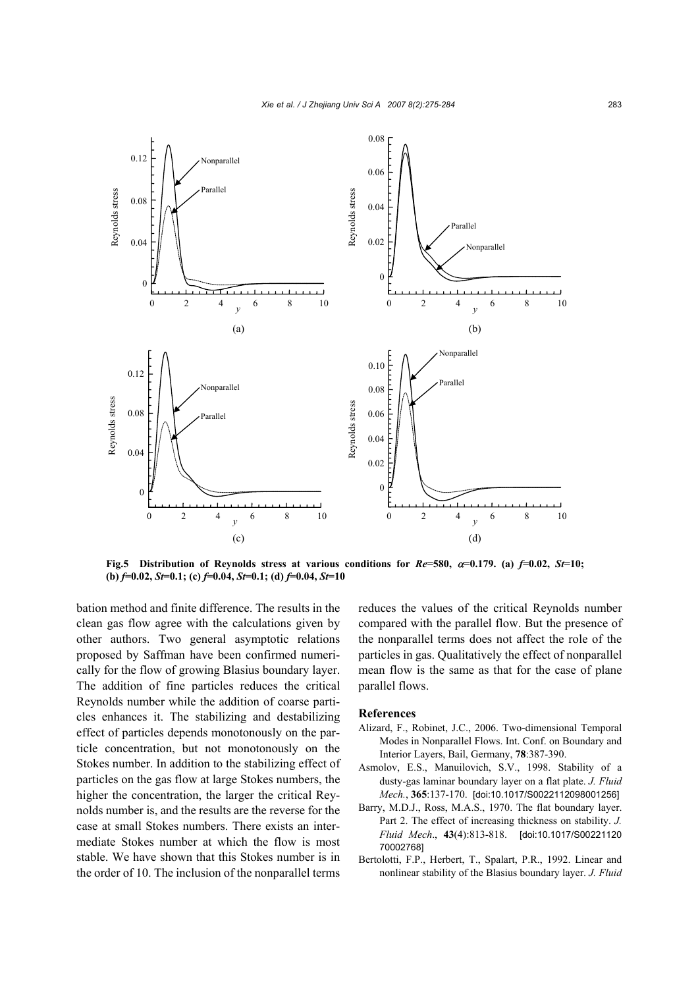

**Fig.5** Distribution of Reynolds stress at various conditions for  $Re=580$ ,  $\alpha=0.179$ . (a)  $f=0.02$ ,  $St=10$ ; **(b)** *f***=0.02,** *St***=0.1; (c)** *f***=0.04,** *St***=0.1; (d)** *f***=0.04,** *St***=10** 

bation method and finite difference. The results in the clean gas flow agree with the calculations given by other authors. Two general asymptotic relations proposed by Saffman have been confirmed numerically for the flow of growing Blasius boundary layer. The addition of fine particles reduces the critical Reynolds number while the addition of coarse particles enhances it. The stabilizing and destabilizing effect of particles depends monotonously on the particle concentration, but not monotonously on the Stokes number. In addition to the stabilizing effect of particles on the gas flow at large Stokes numbers, the higher the concentration, the larger the critical Reynolds number is, and the results are the reverse for the case at small Stokes numbers. There exists an intermediate Stokes number at which the flow is most stable. We have shown that this Stokes number is in the order of 10. The inclusion of the nonparallel terms

reduces the values of the critical Reynolds number compared with the parallel flow. But the presence of the nonparallel terms does not affect the role of the particles in gas. Qualitatively the effect of nonparallel mean flow is the same as that for the case of plane parallel flows.

#### **References**

- Alizard, F., Robinet, J.C., 2006. Two-dimensional Temporal Modes in Nonparallel Flows. Int. Conf. on Boundary and Interior Layers, Bail, Germany, **78**:387-390.
- Asmolov, E.S., Manuilovich, S.V., 1998. Stability of a dusty-gas laminar boundary layer on a flat plate. *J. Fluid Mech.*, **365**:137-170. [doi:10.1017/S0022112098001256]
- Barry, M.D.J., Ross, M.A.S., 1970. The flat boundary layer. Part 2. The effect of increasing thickness on stability. *J. Fluid Mech*., **43**(4):813-818. [doi:10.1017/S00221120 70002768]
- Bertolotti, F.P., Herbert, T., Spalart, P.R., 1992. Linear and nonlinear stability of the Blasius boundary layer. *J. Fluid*